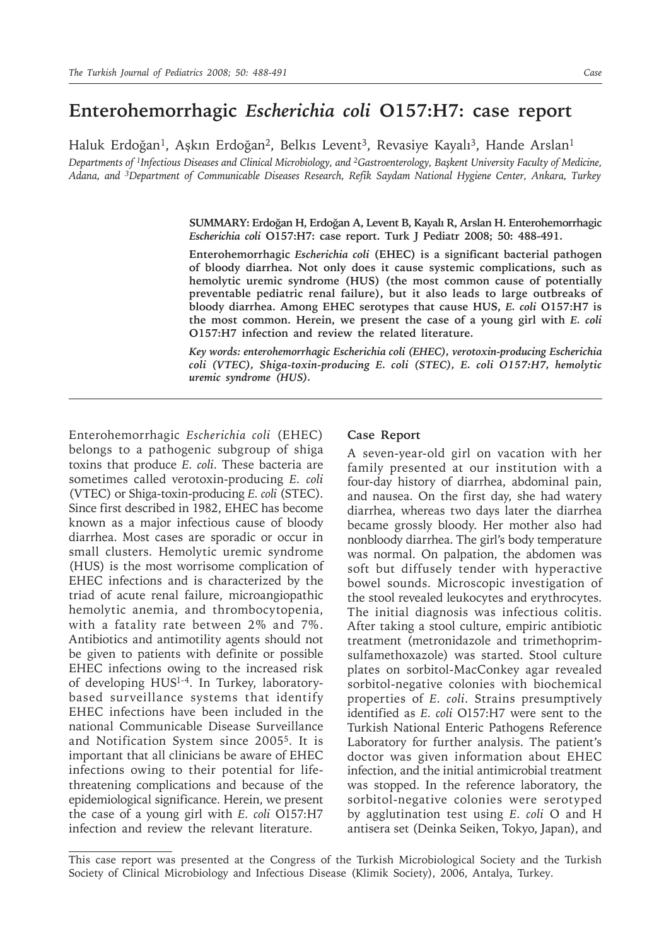## **Enterohemorrhagic** *Escherichia coli* **O157:H7: case report**

Haluk Erdoğan<sup>1</sup>, Aşkın Erdoğan<sup>2</sup>, Belkıs Levent<sup>3</sup>, Revasiye Kayalı<sup>3</sup>, Hande Arslan<sup>1</sup>

*Departments of 1Infectious Diseases and Clinical Microbiology, and 2Gastroenterology, Başkent University Faculty of Medicine, Adana, and 3Department of Communicable Diseases Research, Refik Saydam National Hygiene Center, Ankara, Turkey*

> **SUMMARY: Erdoğan H, Erdoğan A, Levent B, Kayalı R, Arslan H. Enterohemorrhagic**  *Escherichia coli* **O157:H7: case report. Turk J Pediatr 2008; 50: 488-491.**

> **Enterohemorrhagic** *Escherichia coli* **(EHEC) is a significant bacterial pathogen of bloody diarrhea. Not only does it cause systemic complications, such as hemolytic uremic syndrome (HUS) (the most common cause of potentially preventable pediatric renal failure), but it also leads to large outbreaks of bloody diarrhea. Among EHEC serotypes that cause HUS,** *E. coli* **O157:H7 is the most common. Herein, we present the case of a young girl with** *E. coli* **O157:H7 infection and review the related literature.**

> *Key words: enterohemorrhagic Escherichia coli (EHEC), verotoxin-producing Escherichia coli (VTEC), Shiga-toxin-producing E. coli (STEC), E. coli O157:H7, hemolytic uremic syndrome (HUS).*

Enterohemorrhagic *Escherichia coli* (EHEC) belongs to a pathogenic subgroup of shiga toxins that produce *E. coli*. These bacteria are sometimes called verotoxin-producing *E. coli* (VTEC) or Shiga-toxin-producing *E. coli* (STEC). Since first described in 1982, EHEC has become known as a major infectious cause of bloody diarrhea. Most cases are sporadic or occur in small clusters. Hemolytic uremic syndrome (HUS) is the most worrisome complication of EHEC infections and is characterized by the triad of acute renal failure, microangiopathic hemolytic anemia, and thrombocytopenia, with a fatality rate between 2% and 7%. Antibiotics and antimotility agents should not be given to patients with definite or possible EHEC infections owing to the increased risk of developing HUS1-4. In Turkey, laboratorybased surveillance systems that identify EHEC infections have been included in the national Communicable Disease Surveillance and Notification System since 20055. It is important that all clinicians be aware of EHEC infections owing to their potential for lifethreatening complications and because of the epidemiological significance. Herein, we present the case of a young girl with *E. coli* O157:H7 infection and review the relevant literature.

## **Case Report**

A seven-year-old girl on vacation with her family presented at our institution with a four-day history of diarrhea, abdominal pain, and nausea. On the first day, she had watery diarrhea, whereas two days later the diarrhea became grossly bloody. Her mother also had nonbloody diarrhea. The girl's body temperature was normal. On palpation, the abdomen was soft but diffusely tender with hyperactive bowel sounds. Microscopic investigation of the stool revealed leukocytes and erythrocytes. The initial diagnosis was infectious colitis. After taking a stool culture, empiric antibiotic treatment (metronidazole and trimethoprimsulfamethoxazole) was started. Stool culture plates on sorbitol-MacConkey agar revealed sorbitol-negative colonies with biochemical properties of *E. coli*. Strains presumptively identified as *E. coli* O157:H7 were sent to the Turkish National Enteric Pathogens Reference Laboratory for further analysis. The patient's doctor was given information about EHEC infection, and the initial antimicrobial treatment was stopped. In the reference laboratory, the sorbitol-negative colonies were serotyped by agglutination test using *E. coli* O and H antisera set (Deinka Seiken, Tokyo, Japan), and

This case report was presented at the Congress of the Turkish Microbiological Society and the Turkish Society of Clinical Microbiology and Infectious Disease (Klimik Society), 2006, Antalya, Turkey.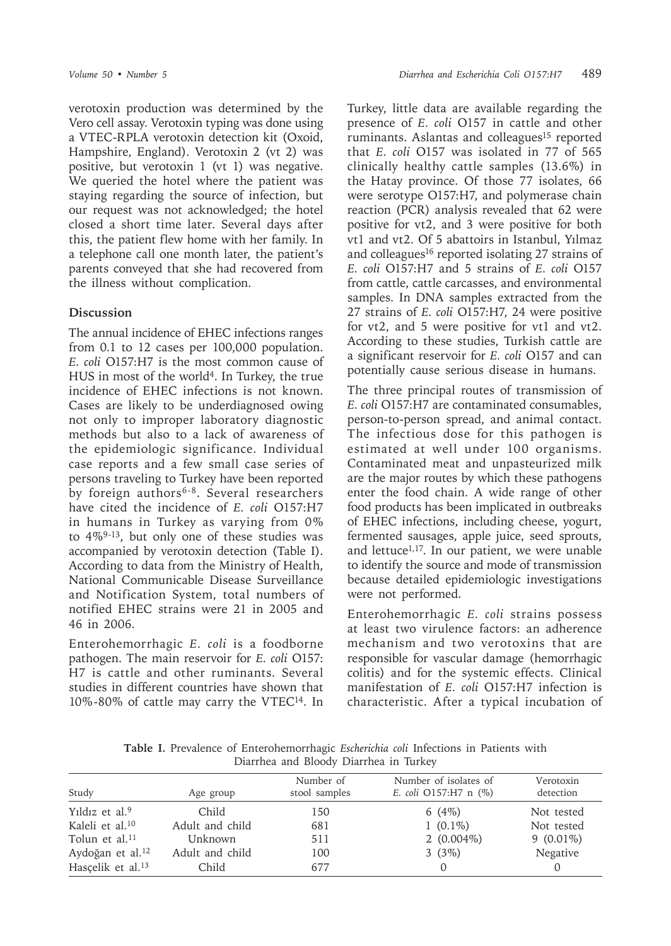verotoxin production was determined by the Vero cell assay. Verotoxin typing was done using a VTEC-RPLA verotoxin detection kit (Oxoid, Hampshire, England). Verotoxin 2 (vt 2) was positive, but verotoxin 1 (vt 1) was negative. We queried the hotel where the patient was staying regarding the source of infection, but our request was not acknowledged; the hotel closed a short time later. Several days after this, the patient flew home with her family. In a telephone call one month later, the patient's parents conveyed that she had recovered from the illness without complication.

## **Discussion**

The annual incidence of EHEC infections ranges from 0.1 to 12 cases per 100,000 population. *E. coli* O157:H7 is the most common cause of HUS in most of the world4. In Turkey, the true incidence of EHEC infections is not known. Cases are likely to be underdiagnosed owing not only to improper laboratory diagnostic methods but also to a lack of awareness of the epidemiologic significance. Individual case reports and a few small case series of persons traveling to Turkey have been reported by foreign authors<sup>6-8</sup>. Several researchers have cited the incidence of *E. coli* O157:H7 in humans in Turkey as varying from 0% to  $4\%^{9-13}$ , but only one of these studies was accompanied by verotoxin detection (Table I). According to data from the Ministry of Health, National Communicable Disease Surveillance and Notification System, total numbers of notified EHEC strains were 21 in 2005 and 46 in 2006.

Enterohemorrhagic *E. coli* is a foodborne pathogen. The main reservoir for *E. coli* O157: H7 is cattle and other ruminants. Several studies in different countries have shown that 10%-80% of cattle may carry the VTEC14. In Turkey, little data are available regarding the presence of *E. coli* O157 in cattle and other ruminants. Aslantas and colleagues<sup>15</sup> reported that *E. coli* O157 was isolated in 77 of 565 clinically healthy cattle samples (13.6%) in the Hatay province. Of those 77 isolates, 66 were serotype O157:H7, and polymerase chain reaction (PCR) analysis revealed that 62 were positive for vt2, and 3 were positive for both vt1 and vt2. Of 5 abattoirs in Istanbul, Yılmaz and colleagues<sup>16</sup> reported isolating 27 strains of *E. coli* O157:H7 and 5 strains of *E. coli* O157 from cattle, cattle carcasses, and environmental samples. In DNA samples extracted from the 27 strains of *E. coli* O157:H7, 24 were positive for vt2, and 5 were positive for vt1 and vt2. According to these studies, Turkish cattle are a significant reservoir for *E. coli* O157 and can potentially cause serious disease in humans.

The three principal routes of transmission of *E. coli* O157:H7 are contaminated consumables, person-to-person spread, and animal contact. The infectious dose for this pathogen is estimated at well under 100 organisms. Contaminated meat and unpasteurized milk are the major routes by which these pathogens enter the food chain. A wide range of other food products has been implicated in outbreaks of EHEC infections, including cheese, yogurt, fermented sausages, apple juice, seed sprouts, and lettuce<sup>1,17</sup>. In our patient, we were unable to identify the source and mode of transmission because detailed epidemiologic investigations were not performed.

Enterohemorrhagic *E. coli* strains possess at least two virulence factors: an adherence mechanism and two verotoxins that are responsible for vascular damage (hemorrhagic colitis) and for the systemic effects. Clinical manifestation of *E. coli* O157:H7 infection is characteristic. After a typical incubation of

**Table I.** Prevalence of Enterohemorrhagic *Escherichia coli* Infections in Patients with Diarrhea and Bloody Diarrhea in Turkey

| Study                         | Age group       | Number of<br>stool samples | Number of isolates of<br>E. coli $O157:H7$ n $(\%)$ | Verotoxin<br>detection |
|-------------------------------|-----------------|----------------------------|-----------------------------------------------------|------------------------|
| Yildiz et al. <sup>9</sup>    | Child           | 150                        | 6 $(4%)$                                            | Not tested             |
| Kaleli et al. <sup>10</sup>   | Adult and child | 681                        | $1(0.1\%)$                                          | Not tested             |
| Tolun et al. <sup>11</sup>    | Unknown         | 511                        | $2(0.004\%)$                                        | $9(0.01\%)$            |
| Aydoğan et al. <sup>12</sup>  | Adult and child | 100                        | 3(3%)                                               | Negative               |
| Hascelik et al. <sup>13</sup> | Child           | 677                        | $\left($                                            |                        |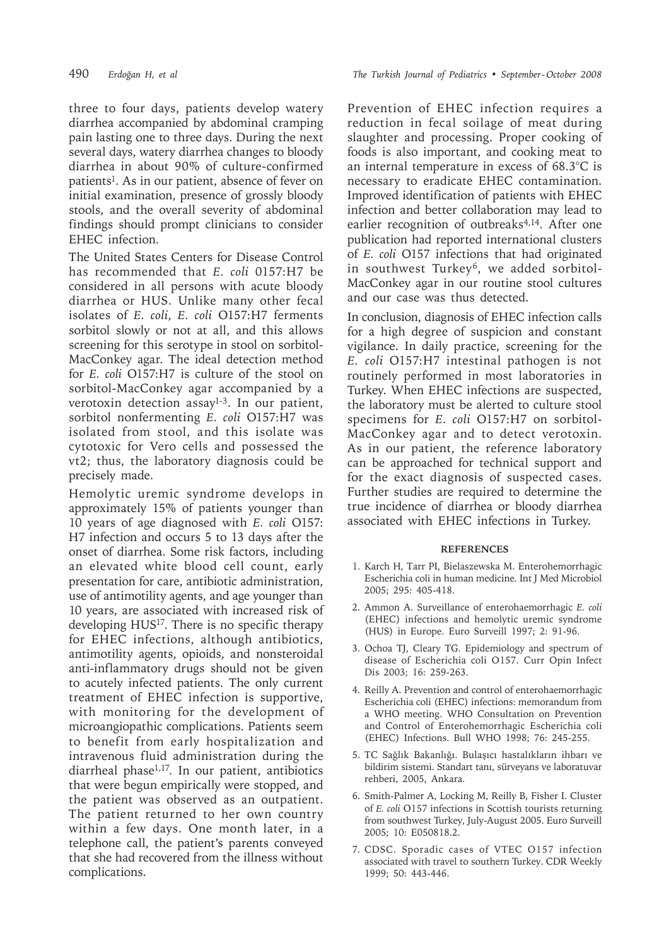three to four days, patients develop watery diarrhea accompanied by abdominal cramping pain lasting one to three days. During the next several days, watery diarrhea changes to bloody diarrhea in about 90% of culture-confirmed patients<sup>1</sup>. As in our patient, absence of fever on initial examination, presence of grossly bloody stools, and the overall severity of abdominal findings should prompt clinicians to consider EHEC infection.

The United States Centers for Disease Control has recommended that *E. coli* 0157:H7 be considered in all persons with acute bloody diarrhea or HUS. Unlike many other fecal isolates of *E. coli*, *E. coli* O157:H7 ferments sorbitol slowly or not at all, and this allows screening for this serotype in stool on sorbitol-MacConkey agar. The ideal detection method for *E. coli* O157:H7 is culture of the stool on sorbitol-MacConkey agar accompanied by a verotoxin detection assay<sup>1-3</sup>. In our patient, sorbitol nonfermenting *E. coli* O157:H7 was isolated from stool, and this isolate was cytotoxic for Vero cells and possessed the vt2; thus, the laboratory diagnosis could be precisely made.

Hemolytic uremic syndrome develops in approximately 15% of patients younger than 10 years of age diagnosed with *E. coli* O157: H7 infection and occurs 5 to 13 days after the onset of diarrhea. Some risk factors, including an elevated white blood cell count, early presentation for care, antibiotic administration, use of antimotility agents, and age younger than 10 years, are associated with increased risk of developing HUS<sup>17</sup>. There is no specific therapy for EHEC infections, although antibiotics, antimotility agents, opioids, and nonsteroidal anti-inflammatory drugs should not be given to acutely infected patients. The only current treatment of EHEC infection is supportive, with monitoring for the development of microangiopathic complications. Patients seem to benefit from early hospitalization and intravenous fluid administration during the diarrheal phase1,17. In our patient, antibiotics that were begun empirically were stopped, and the patient was observed as an outpatient. The patient returned to her own country within a few days. One month later, in a telephone call, the patient's parents conveyed that she had recovered from the illness without complications.

Prevention of EHEC infection requires a reduction in fecal soilage of meat during slaughter and processing. Proper cooking of foods is also important, and cooking meat to an internal temperature in excess of 68.3°C is necessary to eradicate EHEC contamination. Improved identification of patients with EHEC infection and better collaboration may lead to earlier recognition of outbreaks<sup>4,14</sup>. After one publication had reported international clusters of *E. coli* O157 infections that had originated in southwest Turkey<sup>6</sup>, we added sorbitol-MacConkey agar in our routine stool cultures and our case was thus detected.

In conclusion, diagnosis of EHEC infection calls for a high degree of suspicion and constant vigilance. In daily practice, screening for the *E. coli* O157:H7 intestinal pathogen is not routinely performed in most laboratories in Turkey. When EHEC infections are suspected, the laboratory must be alerted to culture stool specimens for *E. coli* O157:H7 on sorbitol-MacConkey agar and to detect verotoxin. As in our patient, the reference laboratory can be approached for technical support and for the exact diagnosis of suspected cases. Further studies are required to determine the true incidence of diarrhea or bloody diarrhea associated with EHEC infections in Turkey.

## **REFERENCES**

- 1. Karch H, Tarr PI, Bielaszewska M. Enterohemorrhagic Escherichia coli in human medicine. Int J Med Microbiol 2005; 295: 405-418.
- 2. Ammon A. Surveillance of enterohaemorrhagic *E. coli* (EHEC) infections and hemolytic uremic syndrome (HUS) in Europe. Euro Surveill 1997; 2: 91-96.
- 3. Ochoa TJ, Cleary TG. Epidemiology and spectrum of disease of Escherichia coli O157. Curr Opin Infect Dis 2003; 16: 259-263.
- 4. Reilly A. Prevention and control of enterohaemorrhagic Escherichia coli (EHEC) infections: memorandum from a WHO meeting. WHO Consultation on Prevention and Control of Enterohemorrhagic Escherichia coli (EHEC) Infections. Bull WHO 1998; 76: 245-255.
- 5. TC Sağlık Bakanlığı. Bulaşıcı hastalıkların ihbarı ve bildirim sistemi. Standart tanı, sürveyans ve laboratuvar rehberi, 2005, Ankara.
- 6. Smith-Palmer A, Locking M, Reilly B, Fisher I. Cluster of *E. coli* O157 infections in Scottish tourists returning from southwest Turkey, July-August 2005. Euro Surveill 2005; 10: E050818.2.
- 7. CDSC. Sporadic cases of VTEC O157 infection associated with travel to southern Turkey. CDR Weekly 1999; 50: 443-446.